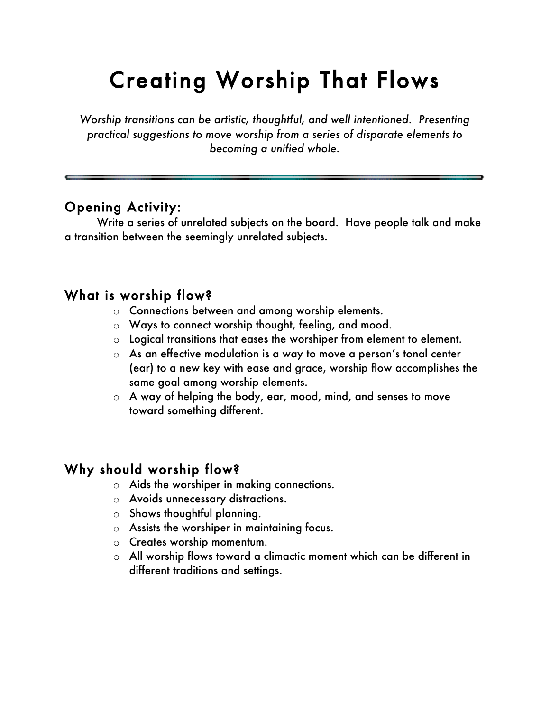# Creating Worship That Flows

*Worship transitions can be artistic, thoughtful, and well intentioned. Presenting practical suggestions to move worship from a series of disparate elements to becoming a unified whole.*

### Opening Activity:

Write a series of unrelated subjects on the board. Have people talk and make a transition between the seemingly unrelated subjects.

#### What is worship flow?

- o Connections between and among worship elements.
- o Ways to connect worship thought, feeling, and mood.
- o Logical transitions that eases the worshiper from element to element.
- o As an effective modulation is a way to move a person's tonal center (ear) to a new key with ease and grace, worship flow accomplishes the same goal among worship elements.
- o A way of helping the body, ear, mood, mind, and senses to move toward something different.

### Why should worship flow?

- o Aids the worshiper in making connections.
- o Avoids unnecessary distractions.
- o Shows thoughtful planning.
- o Assists the worshiper in maintaining focus.
- o Creates worship momentum.
- o All worship flows toward a climactic moment which can be different in different traditions and settings.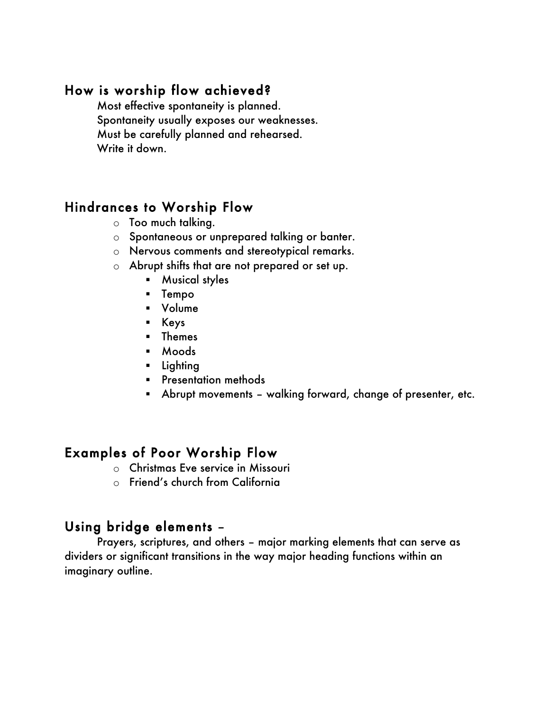#### How is worship flow achieved?

Most effective spontaneity is planned. Spontaneity usually exposes our weaknesses. Must be carefully planned and rehearsed. Write it down.

## Hindrances to Worship Flow

- o Too much talking.
- o Spontaneous or unprepared talking or banter.
- o Nervous comments and stereotypical remarks.
- o Abrupt shifts that are not prepared or set up.
	- **Musical styles**
	- **Tempo**
	- Volume
	- Keys
	- **F** Themes
	- Moods
	- **Lighting**
	- **Presentation methods**
	- Abrupt movements walking forward, change of presenter, etc.

### Examples of Poor Worship Flow

- o Christmas Eve service in Missouri
- o Friend's church from California

#### Using bridge elements –

Prayers, scriptures, and others – major marking elements that can serve as dividers or significant transitions in the way major heading functions within an imaginary outline.